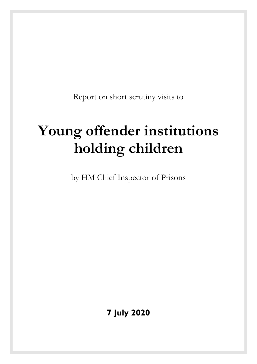Report on short scrutiny visits to

# **Young offender institutions holding children**

by HM Chief Inspector of Prisons

**7 July 2020**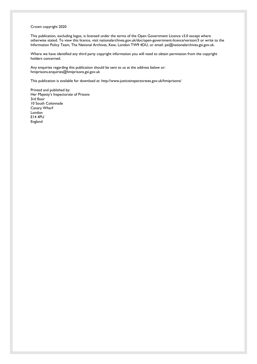#### Crown copyright 2020

This publication, excluding logos, is licensed under the terms of the Open Government Licence v3.0 except where otherwise stated. To view this licence, visit [nationalarchives.gov.uk/doc/open-government-licence/version/3](http://nationalarchives.gov.uk/doc/open-government-licence/version/3/) or write to the Information Policy Team, The National Archives, Kew, London TW9 4DU, or email[: psi@nationalarchives.gsi.gov.uk.](mailto:psi@nationalarchives.gsi.gov.uk) 

Where we have identified any third party copyright information you will need to obtain permission from the copyright holders concerned.

Any enquiries regarding this publication should be sent to us at the address below or: [hmiprisons.enquiries@hmiprisons.gsi.gov.uk](mailto:hmiprisons.enquiries@hmiprisons.gsi.gov.uk)

This publication is available for download at[: http://www.justiceinspectorates.gov.uk/hmiprisons/](http://www.justiceinspectorates.gov.uk/hmiprisons/) 

Printed and published by: Her Majesty's Inspectorate of Prisons 3rd floor 10 South Colonnade Canary Wharf London E14 4PU England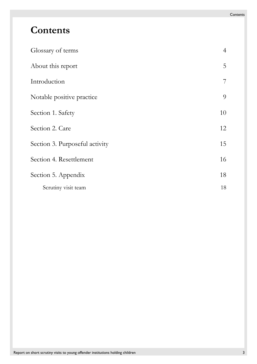# **Contents**

| Glossary of terms              | $\overline{4}$ |
|--------------------------------|----------------|
| About this report              | 5              |
| Introduction                   | $\overline{7}$ |
| Notable positive practice      | 9              |
| Section 1. Safety              | 10             |
| Section 2. Care                | 12             |
| Section 3. Purposeful activity | 15             |
| Section 4. Resettlement        | 16             |
| Section 5. Appendix            | 18             |
| Scrutiny visit team            | 18             |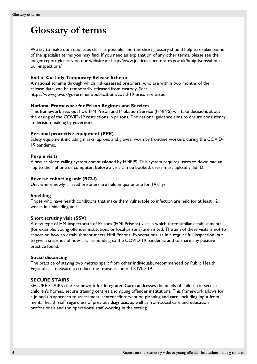# <span id="page-3-1"></span><span id="page-3-0"></span>**Glossary of terms**

We try to make our reports as clear as possible, and this short glossary should help to explain some of the specialist terms you may find. If you need an explanation of any other terms, please see the longer report glossary on our website at: [http://www.justiceinspectorates.gov.uk/hmiprisons/about](http://www.justiceinspectorates.gov.uk/hmiprisons/about-our-inspections/)[our-inspections/](http://www.justiceinspectorates.gov.uk/hmiprisons/about-our-inspections/)

#### **End of Custody Temporary Release Scheme**

A national scheme through which risk-assessed prisoners, who are within two months of their release date, can be temporarily released from custody. See: <https://www.gov.uk/government/publications/covid-19-prison-releases>

#### **National Framework for Prison Regimes and Services**

This framework sets out how HM Prison and Probation Service (HMPPS) will take decisions about the easing of the COVID-19 restrictions in prisons. The national guidance aims to ensure consistency in decision-making by governors.

#### **Personal protective equipment (PPE)**

Safety equipment including masks, aprons and gloves, worn by frontline workers during the COVID-19 pandemic.

#### **Purple visits**

A secure video calling system commissioned by HMPPS. This system requires users to download an app to their phone or computer. Before a visit can be booked, users must upload valid ID.

#### **Reverse cohorting unit (RCU)**

Unit where newly-arrived prisoners are held in quarantine for 14 days.

#### **Shielding**

Those who have health conditions that make them vulnerable to infection are held for at least 12 weeks in a shielding unit.

#### **Short scrutiny visit (SSV)**

A new type of HM Inspectorate of Prisons (HMI Prisons) visit in which three similar establishments (for example, young offender institutions or local prisons) are visited. The aim of these visits is not to report on how an establishment meets HMI Prisons' Expectations, as in a regular full inspection, but to give a snapshot of how it is responding to the COVID-19 pandemic and to share any positive practice found.

#### **Social distancing**

The practice of staying two metres apart from other individuals, recommended by Public Health England as a measure to reduce the transmission of COVID-19.

### **SECURE STAIRS**

SECURE STAIRS (the Framework for Integrated Care) addresses the needs of children in secure children's homes, secure training centres and young offender institutions. This framework allows for a joined-up approach to assessment, sentence/intervention planning and care, including input from mental health staff regardless of previous diagnosis, as well as from social care and education professionals and the operational staff working in the setting.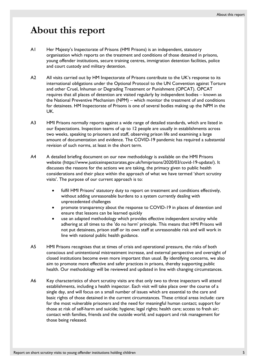### <span id="page-4-0"></span>**About this report**

- A1 Her Majesty's Inspectorate of Prisons (HMI Prisons) is an independent, statutory organisation which reports on the treatment and conditions of those detained in prisons, young offender institutions, secure training centres, immigration detention facilities, police and court custody and military detention.
- A2 All visits carried out by HM Inspectorate of Prisons contribute to the UK's response to its international obligations under the Optional Protocol to the UN Convention against Torture and other Cruel, Inhuman or Degrading Treatment or Punishment (OPCAT). OPCAT requires that all places of detention are visited regularly by independent bodies – known as the National Preventive Mechanism (NPM) – which monitor the treatment of and conditions for detainees. HM Inspectorate of Prisons is one of several bodies making up the NPM in the UK.
- A3 HMI Prisons normally reports against a wide range of detailed standards, which are listed in our Expectations. Inspection teams of up to 12 people are usually in establishments across two weeks, speaking to prisoners and staff, observing prison life and examining a large amount of documentation and evidence. The COVID-19 pandemic has required a substantial revision of such norms, at least in the short term.
- A4 A detailed briefing document on our new methodology is available on the HMI Prisons website (https://www.justiceinspectorates.gov.uk/hmiprisons/2020/03/covid-19-update/). It discusses the reasons for the actions we are taking, the primacy given to public health considerations and their place within the approach of what we have termed 'short scrutiny visits'. The purpose of our current approach is to:
	- fulfil HMI Prisons' statutory duty to report on treatment and conditions effectively, without adding unreasonable burdens to a system currently dealing with unprecedented challenges
	- promote transparency about the response to COVID-19 in places of detention and ensure that lessons can be learned quickly
	- use an adapted methodology which provides effective independent scrutiny while adhering at all times to the 'do no harm' principle. This means that HMI Prisons will not put detainees, prison staff or its own staff at unreasonable risk and will work in line with national public health guidance.
- A5 HMI Prisons recognises that at times of crisis and operational pressure, the risks of both conscious and unintentional mistreatment increase, and external perspective and oversight of closed institutions become even more important than usual. By identifying concerns, we also aim to promote more effective and safer practices in prisons, thereby supporting public health. Our methodology will be reviewed and updated in line with changing circumstances.
- A6 Key characteristics of short scrutiny visits are that only two to three inspectors will attend establishments, including a health inspector. Each visit will take place over the course of a single day, and will focus on a small number of issues which are essential to the care and basic rights of those detained in the current circumstances. These critical areas include: care for the most vulnerable prisoners and the need for meaningful human contact; support for those at risk of self-harm and suicide; hygiene; legal rights; health care; access to fresh air; contact with families, friends and the outside world; and support and risk management for those being released.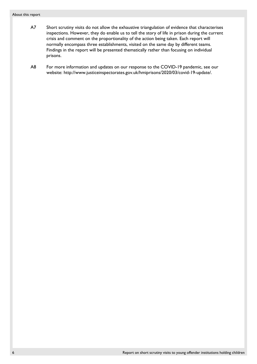#### About this report

- A7 Short scrutiny visits do not allow the exhaustive triangulation of evidence that characterises inspections. However, they do enable us to tell the story of life in prison during the current crisis and comment on the proportionality of the action being taken. Each report will normally encompass three establishments, visited on the same day by different teams. Findings in the report will be presented thematically rather than focusing on individual prisons.
- A8 For more information and updates on our response to the COVID-19 pandemic, see our website: http://www.justiceinspectorates.gov.uk/hmiprisons/2020/03/covid-19-update/.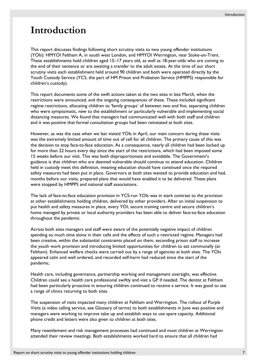## <span id="page-6-0"></span>**Introduction**

This report discusses findings following short scrutiny visits to two young offender institutions (YOIs): HMYOI Feltham A, in south west London, and HMYOI Werrington, near Stoke-on-Trent. These establishments hold children aged 15–17 years old, as well as 18-year-olds who are coming to the end of their sentence or are awaiting a transfer to the adult estate. At the time of our short scrutiny visits each establishment held around 90 children and both were operated directly by the Youth Custody Service (YCS, the part of HM Prison and Probation Service (HMPPS) responsible for children's custody).

This report documents some of the swift actions taken at the two sites in late March, when the restrictions were announced, and the ongoing consequences of these. These included significant regime restrictions, allocating children to 'family groups' of between two and five, separating children who were symptomatic, new to the establishment or particularly vulnerable and implementing social distancing measures. We found that managers had communicated well with both staff and children and it was positive that formal consultation groups had been reinstated at both sites.

However, as was the case when we last visited YOIs in April, our main concern during these visits was the extremely limited amount of time out of cell for all children. The primary cause of this was the decision to stop face-to-face education. As a consequence, nearly all children had been locked up for more than 22 hours every day since the start of the restrictions, which had been imposed some 15 weeks before our visit. This was both disproportionate and avoidable. The Government's guidance is that children who are deemed vulnerable should continue to attend education. Children held in custody meet this definition, meaning education should have continued once the required safety measures had been put in place. Governors at both sites wanted to provide education and had, months before our visits, prepared plans that would have enabled it to be delivered. These plans were stopped by HMPPS and national staff associations.

The lack of face-to-face education provision in YCS-run YOIs was in stark contrast to the provision at other establishments holding children, delivered by other providers. After an initial suspension to put health and safety measures in place, every YOI, secure training centre and secure children's home managed by private or local authority providers has been able to deliver face-to-face education throughout the pandemic.

Across both sites managers and staff were aware of the potentially negative impact of children spending so much time alone in their cells and the effects of such a restricted regime. Managers had been creative, within the substantial constraints placed on them, seconding prison staff to increase the youth work provision and introducing limited opportunities for children to eat communally (at Feltham). Enhanced welfare checks were carried out by a range of agencies at both sites. The YOIs appeared calm and well ordered, and recorded self-harm had reduced since the start of the pandemic.

Health care, including governance, partnership working and management oversight, was effective. Children could see a health care professional swiftly and visit a GP if needed. The dentist at Feltham had been particularly proactive in ensuring children continued to receive a service. It was good to see a range of clinics returning to both sites.

The suspension of visits impacted many children at Feltham and Werrington. The rollout of Purple Visits (a video calling service, see [Glossary of terms\)](#page-3-1) to both establishments in June was positive and managers were working to improve take up and establish ways to use spare capacity. Additional phone credit and letters were also given to children at both sites.

Many resettlement and risk management processes had continued and most children at Werrington attended their review meetings. Both establishments worked hard to ensure that all children had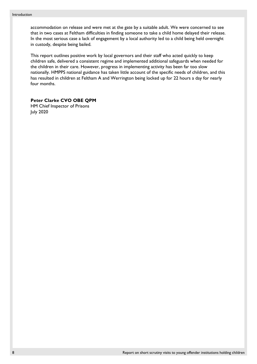accommodation on release and were met at the gate by a suitable adult. We were concerned to see that in two cases at Feltham difficulties in finding someone to take a child home delayed their release. In the most serious case a lack of engagement by a local authority led to a child being held overnight in custody, despite being bailed.

This report outlines positive work by local governors and their staff who acted quickly to keep children safe, delivered a consistent regime and implemented additional safeguards when needed for the children in their care. However, progress in implementing activity has been far too slow nationally. HMPPS national guidance has taken little account of the specific needs of children, and this has resulted in children at Feltham A and Werrington being locked up for 22 hours a day for nearly four months.

**Peter Clarke CVO OBE QPM**

HM Chief Inspector of Prisons July 2020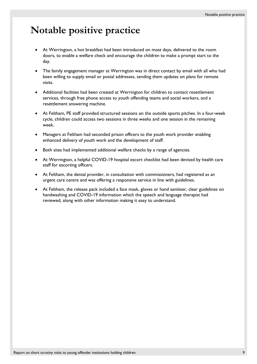# <span id="page-8-0"></span>**Notable positive practice**

- At Werrington, a hot breakfast had been introduced on most days, delivered to the room doors, to enable a welfare check and encourage the children to make a prompt start to the day.
- The family engagement manager at Werrington was in direct contact by email with all who had been willing to supply email or postal addresses, sending them updates on plans for remote visits.
- Additional facilities had been created at Werrington for children to contact resettlement services, through free phone access to youth offending teams and social workers, and a resettlement answering machine.
- At Feltham, PE staff provided structured sessions on the outside sports pitches. In a four-week cycle, children could access two sessions in three weeks and one session in the remaining week.
- Managers at Feltham had seconded prison officers to the youth work provider enabling enhanced delivery of youth work and the development of staff.
- Both sites had implemented additional welfare checks by a range of agencies.
- At Werrington, a helpful COVID-19 hospital escort checklist had been devised by health care staff for escorting officers.
- At Feltham, the dental provider, in consultation with commissioners, had registered as an urgent care centre and was offering a responsive service in line with guidelines.
- At Feltham, the release pack included a face mask, gloves or hand sanitiser, clear guidelines on handwashing and COVID-19 information which the speech and language therapist had reviewed, along with other information making it easy to understand.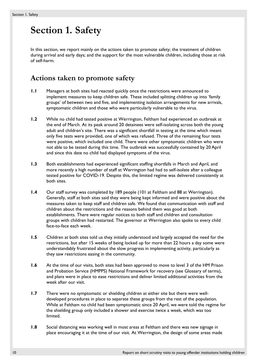# <span id="page-9-0"></span>**Section 1. Safety**

In this section, we report mainly on the actions taken to promote safety; the treatment of children during arrival and early days; and the support for the most vulnerable children, including those at risk of self-harm.

### **Actions taken to promote safety**

- **1.1** Managers at both sites had reacted quickly once the restrictions were announced to implement measures to keep children safe. These included splitting children up into 'family groups' of between two and five, and implementing isolation arrangements for new arrivals, symptomatic children and those who were particularly vulnerable to the virus.
- **1.2** While no child had tested positive at Werrington, Feltham had experienced an outbreak at the end of March. At its peak around 20 detainees were self-isolating across both the young adult and children's site. There was a significant shortfall in testing at the time which meant only five tests were provided, one of which was refused. Three of the remaining four tests were positive, which included one child. There were other symptomatic children who were not able to be tested during this time. The outbreak was successfully contained by 20 April and since this date no child had displayed symptoms of the virus.
- **1.3** Both establishments had experienced significant staffing shortfalls in March and April, and more recently a high number of staff at Werrington had had to self-isolate after a colleague tested positive for COVID-19. Despite this, the limited regime was delivered consistently at both sites.
- **1.4** Our staff survey was completed by 189 people (101 at Feltham and 88 at Werrington). Generally, staff at both sites said they were being kept informed and were positive about the measures taken to keep staff and children safe. We found that communication with staff and children about the restrictions and the reasons behind them was good at both establishments. There were regular notices to both staff and children and consultation groups with children had restarted. The governor at Werrington also spoke to every child face-to-face each week.
- **1.5** Children at both sites told us they initially understood and largely accepted the need for the restrictions, but after 15 weeks of being locked up for more than 22 hours a day some were understandably frustrated about the slow progress in implementing activity, particularly as they saw restrictions easing in the community.
- **1.6** At the time of our visits, both sites had been approved to move to level 3 of the HM Prison and Probation Service (HMPPS) National Framework for recovery (see [Glossary of terms\)](#page-3-1), and plans were in place to ease restrictions and deliver limited additional activities from the week after our visit.
- **1.7** There were no symptomatic or shielding children at either site but there were welldeveloped procedures in place to separate these groups from the rest of the population. While at Feltham no child had been symptomatic since 20 April, we were told the regime for the shielding group only included a shower and exercise twice a week, which was too limited.
- **1.8** Social distancing was working well in most areas at Feltham and there was new signage in place encouraging it at the time of our visit. At Werrington, the design of some areas made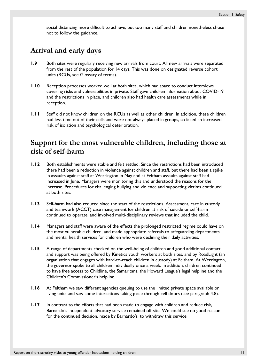social distancing more difficult to achieve, but too many staff and children nonetheless chose not to follow the guidance.

### **Arrival and early days**

- **1.9** Both sites were regularly receiving new arrivals from court. All new arrivals were separated from the rest of the population for 14 days. This was done on designated reverse cohort units (RCUs, see [Glossary of terms\)](#page-3-1).
- **1.10** Reception processes worked well at both sites, which had space to conduct interviews covering risks and vulnerabilities in private. Staff gave children information about COVID-19 and the restrictions in place, and children also had health care assessments while in reception.
- **1.11** Staff did not know children on the RCUs as well as other children. In addition, these children had less time out of their cells and were not always placed in groups, so faced an increased risk of isolation and psychological deterioration.

### **Support for the most vulnerable children, including those at risk of self-harm**

- **1.12** Both establishments were stable and felt settled. Since the restrictions had been introduced there had been a reduction in violence against children and staff, but there had been a spike in assaults against staff at Werrington in May and at Feltham assaults against staff had increased in June. Managers were monitoring this and understood the reasons for the increase. Procedures for challenging bullying and violence and supporting victims continued at both sites.
- **1.13** Self-harm had also reduced since the start of the restrictions. Assessment, care in custody and teamwork (ACCT) case management for children at risk of suicide or self-harm continued to operate, and involved multi-disciplinary reviews that included the child.
- **1.14** Managers and staff were aware of the effects the prolonged restricted regime could have on the most vulnerable children, and made appropriate referrals to safeguarding departments and mental health services for children who were declining their daily activities.
- **1.15** A range of departments checked on the well-being of children and good additional contact and support was being offered by Kinetics youth workers at both sites, and by RoadLight (an organisation that engages with hard-to-reach children in custody) at Feltham. At Werrington, the governor spoke to all children individually once a week. In addition, children continued to have free access to Childline, the Samaritans, the Howard League's legal helpline and the Children's Commissioner's helpline.
- <span id="page-10-0"></span>**1.16** At Feltham we saw different agencies queuing to use the limited private space available on living units and saw some interactions taking place through cell doors (see paragraph [4.8\)](#page-16-0).
- **1.17** In contrast to the efforts that had been made to engage with children and reduce risk, Barnardo's independent advocacy service remained off-site. We could see no good reason for the continued decision, made by Barnardo's, to withdraw this service.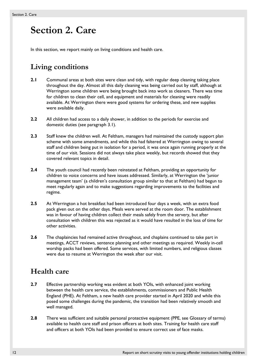# <span id="page-11-0"></span>**Section 2. Care**

In this section, we report mainly on living conditions and health care.

### **Living conditions**

- **2.1** Communal areas at both sites were clean and tidy, with regular deep cleaning taking place throughout the day. Almost all this daily cleaning was being carried out by staff, although at Werrington some children were being brought back into work as cleaners. There was time for children to clean their cell, and equipment and materials for cleaning were readily available. At Werrington there were good systems for ordering these, and new supplies were available daily.
- **2.2** All children had access to a daily shower, in addition to the periods for exercise and domestic duties (see paragraph [3.1\)](#page-14-1).
- **2.3** Staff knew the children well. At Feltham, managers had maintained the custody support plan scheme with some amendments, and while this had faltered at Werrington owing to several staff and children being put in isolation for a period, it was once again running properly at the time of our visit. Sessions did not always take place weekly, but records showed that they covered relevant topics in detail.
- **2.4** The youth council had recently been reinstated at Feltham, providing an opportunity for children to voice concerns and have issues addressed. Similarly, at Werrington the 'junior management team' (a children's consultation group similar to that at Feltham) had begun to meet regularly again and to make suggestions regarding improvements to the facilities and regime.
- **2.5** At Werrington a hot breakfast had been introduced four days a week, with an extra food pack given out on the other days. Meals were served at the room door. The establishment was in favour of having children collect their meals safely from the servery, but after consultation with children this was rejected as it would have resulted in the loss of time for other activities.
- **2.6** The chaplaincies had remained active throughout, and chaplains continued to take part in meetings, ACCT reviews, sentence planning and other meetings as required. Weekly in-cell worship packs had been offered. Some services, with limited numbers, and religious classes were due to resume at Werrington the week after our visit.

### **Health care**

- **2.7** Effective partnership working was evident at both YOIs, with enhanced joint working between the health care service, the establishments, commissioners and Public Health England (PHE). At Feltham, a new health care provider started in April 2020 and while this posed some challenges during the pandemic, the transition had been relatively smooth and well managed.
- **2.8** There was sufficient and suitable personal protective equipment (PPE, see [Glossary of terms\)](#page-3-1) available to health care staff and prison officers at both sites. Training for health care staff and officers at both YOIs had been provided to ensure correct use of face masks.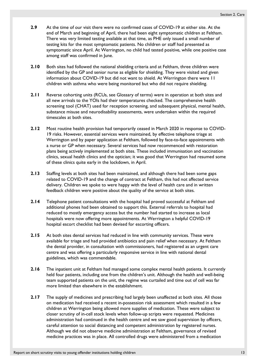- **2.9** At the time of our visit there were no confirmed cases of COVID-19 at either site. At the end of March and beginning of April, there had been eight symptomatic children at Feltham. There was very limited testing available at that time, as PHE only issued a small number of testing kits for the most symptomatic patients. No children or staff had presented as symptomatic since April. At Werrington, no child had tested positive, while one positive case among staff was confirmed in June.
- **2.10** Both sites had followed the national shielding criteria and at Feltham, three children were identified by the GP and senior nurse as eligible for shielding. They were visited and given information about COVID-19 but did not want to shield. At Werrington there were 11 children with asthma who were being monitored but who did not require shielding.
- **2.11** Reverse cohorting units (RCUs, see [Glossary of terms\)](#page-3-1) were in operation at both sites and all new arrivals to the YOIs had their temperatures checked. The comprehensive health screening tool (CHAT) used for reception screening, and subsequent physical, mental health, substance misuse and neurodisability assessments, were undertaken within the required timescales at both sites.
- **2.12** Most routine health provision had temporarily ceased in March 2020 in response to COVID-19 risks. However, essential services were maintained, by effective telephone triage at Werrington and by paper application at Feltham, followed by face-to-face appointments with a nurse or GP when necessary. Several services had now recommenced with restoration plans being actively implemented at both sites. These included immunisation and vaccination clinics, sexual health clinics and the optician; it was good that Werrington had resumed some of these clinics quite early in the lockdown, in April.
- **2.13** Staffing levels at both sites had been maintained, and although there had been some gaps related to COVID-19 and the change of contract at Feltham, this had not affected service delivery. Children we spoke to were happy with the level of health care and in written feedback children were positive about the quality of the service at both sites.
- **2.14** Telephone patient consultations with the hospital had proved successful at Feltham and additional phones had been obtained to support this. External referrals to hospital had reduced to mostly emergency access but the number had started to increase as local hospitals were now offering more appointments. At Werrington a helpful COVID-19 hospital escort checklist had been devised for escorting officers.
- **2.15** At both sites dental services had reduced in line with community services. These were available for triage and had provided antibiotics and pain relief when necessary. At Feltham the dental provider, in consultation with commissioners, had registered as an urgent care centre and was offering a particularly responsive service in line with national dental guidelines, which was commendable.
- <span id="page-12-0"></span>**2.16** The inpatient unit at Feltham had managed some complex mental health patients. It currently held four patients, including one from the children's unit. Although the health and well-being team supported patients on the unit, the regime was curtailed and time out of cell was far more limited than elsewhere in the establishment.
- **2.17** The supply of medicines and prescribing had largely been unaffected at both sites. All those on medication had received a recent in-possession risk assessment which resulted in a few children at Werrington being allowed more supplies of medication. These were subject to closer scrutiny of in-cell stock levels when follow-up scripts were requested. Medicines administration had continued in the health centre and we saw good supervision by officers, careful attention to social distancing and competent administration by registered nurses. Although we did not observe medicine administration at Feltham, governance of revised medicine practices was in place. All controlled drugs were administered from a medication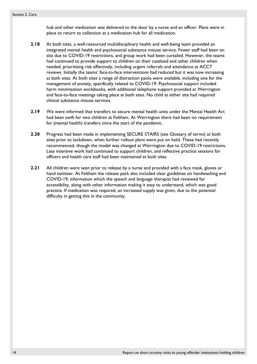hub and other medication was delivered to the door by a nurse and an officer. Plans were in place to return to collection at a medication hub for all medication.

- **2.18** At both sites, a well-resourced multidisciplinary health and well-being team provided an integrated mental health and psychosocial substance misuse service. Fewer staff had been on site due to COVID-19 restrictions, and group work had been curtailed. However, the teams had continued to provide support to children on their caseload and other children when needed, prioritising risk effectively, including urgent referrals and attendance at ACCT reviews. Initially the teams' face-to-face interventions had reduced but it was now increasing at both sites. At both sites a range of distraction packs were available, including one for the management of anxiety, specifically related to COVID-19. Psychosocial support included harm minimisation workbooks, with additional telephone support provided at Werrington and face-to-face meetings taking place at both sites. No child at either site had required clinical substance misuse services.
- **2.19** We were informed that transfers to secure mental health units under the Mental Health Act had been swift for two children at Feltham. At Werrington there had been no requirement for (mental health) transfers since the start of the pandemic.
- **2.20** Progress had been made in implementing SECURE STAIRS (see [Glossary of terms\)](#page-3-1) at both sites prior to lockdown, when further rollout plans were put on hold. These had recently recommenced, though the model was changed at Werrington due to COVID-19 restrictions. Less intensive work had continued to support children, and reflective practice sessions for officers and health care staff had been maintained at both sites.
- **2.21** All children were seen prior to release by a nurse and provided with a face mask, gloves or hand sanitiser. At Feltham the release pack also included clear guidelines on handwashing and COVID-19, information which the speech and language therapist had reviewed for accessibility, along with other information making it easy to understand, which was good practice. If medication was required, an increased supply was given, due to the potential difficulty in getting this in the community.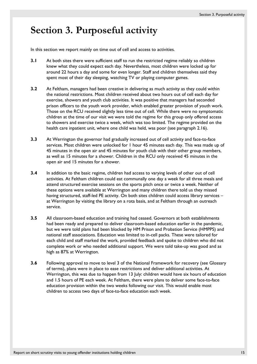## <span id="page-14-0"></span>**Section 3. Purposeful activity**

<span id="page-14-1"></span>In this section we report mainly on time out of cell and access to activities.

- **3.1** At both sites there were sufficient staff to run the restricted regime reliably so children knew what they could expect each day. Nevertheless, most children were locked up for around 22 hours a day and some for even longer. Staff and children themselves said they spent most of their day sleeping, watching TV or playing computer games.
- **3.2** At Feltham, managers had been creative in delivering as much activity as they could within the national restrictions. Most children received about two hours out of cell each day for exercise, showers and youth club activities. It was positive that managers had seconded prison officers to the youth work provider, which enabled greater provision of youth work. Those on the RCU received slightly less time out of cell. While there were no symptomatic children at the time of our visit we were told the regime for this group only offered access to showers and exercise twice a week, which was too limited. The regime provided on the health care inpatient unit, where one child was held, was poor (see paragraph [2.16\)](#page-12-0).
- **3.3** At Werrington the governor had gradually increased out of cell activity and face-to-face services. Most children were unlocked for 1 hour 45 minutes each day. This was made up of 45 minutes in the open air and 45 minutes for youth club with their other group members, as well as 15 minutes for a shower. Children in the RCU only received 45 minutes in the open air and 15 minutes for a shower.
- **3.4** In addition to the basic regime, children had access to varying levels of other out of cell activities. At Feltham children could eat communally one day a week for all three meals and attend structured exercise sessions on the sports pitch once or twice a week. Neither of these options were available at Werrington and many children there told us they missed having structured, staff-led PE activity. On both sites children could access library services at Werrington by visiting the library on a rota basis, and at Feltham through an outreach service.
- **3.5** All classroom-based education and training had ceased. Governors at both establishments had been ready and prepared to deliver classroom-based education earlier in the pandemic, but we were told plans had been blocked by HM Prison and Probation Service (HMPPS) and national staff associations. Education was limited to in-cell packs. These were tailored for each child and staff marked the work, provided feedback and spoke to children who did not complete work or who needed additional support. We were told take-up was good and as high as 87% at Werrington.
- **3.6** Following approval to move to level 3 of the National Framework for recovery (see [Glossary](#page-3-1)  [of terms\)](#page-3-1), plans were in place to ease restrictions and deliver additional activities. At Werrington, this was due to happen from 13 July: children would have six hours of education and 1.5 hours of PE each week. At Feltham, there were plans to deliver some face-to-face education provision within the two weeks following our visit. This would enable most children to access two days of face-to-face education each week.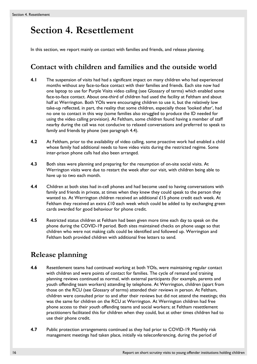# <span id="page-15-0"></span>**Section 4. Resettlement**

In this section, we report mainly on contact with families and friends, and release planning.

### **Contact with children and families and the outside world**

- **4.1** The suspension of visits had had a significant impact on many children who had experienced months without any face-to-face contact with their families and friends. Each site now had one laptop to use for Purple Visits video calling (see [Glossary of terms\)](#page-3-1) which enabled some face-to-face contact. About one-third of children had used the facility at Feltham and about half at Werrington. Both YOIs were encouraging children to use it, but the relatively low take-up reflected, in part, the reality that some children, especially those 'looked after', had no one to contact in this way (some families also struggled to produce the ID needed for using the video calling provision). At Feltham, some children found having a member of staff nearby during the call was not conducive to relaxed conversations and preferred to speak to family and friends by phone (see paragraph [4.4\)](#page-15-1).
- **4.2** At Feltham, prior to the availability of video calling, some proactive work had enabled a child whose family had additional needs to have video visits during the restricted regime. Some inter-prison phone calls had also been arranged.
- **4.3** Both sites were planning and preparing for the resumption of on-site social visits. At Werrington visits were due to restart the week after our visit, with children being able to have up to two each month.
- <span id="page-15-1"></span>**4.4** Children at both sites had in-cell phones and had become used to having conversations with family and friends in private, at times when they knew they could speak to the person they wanted to. At Werrington children received an additional £15 phone credit each week. At Feltham they received an extra  $\mathcal{L}10$  each week which could be added to by exchanging green cards awarded for good behaviour for phone credit.
- **4.5** Restricted status children at Feltham had been given more time each day to speak on the phone during the COVID-19 period. Both sites maintained checks on phone usage so that children who were not making calls could be identified and followed up. Werrington and Feltham both provided children with additional free letters to send.

### **Release planning**

- **4.6** Resettlement teams had continued working at both YOIs, were maintaining regular contact with children and were points of contact for families. The cycle of remand and training planning reviews continued as normal, with external participants (for example, parents and youth offending team workers) attending by telephone. At Werrington, children (apart from those on the RCU (see [Glossary of terms\)](#page-3-1) attended their reviews in person. At Feltham, children were consulted prior to and after their reviews but did not attend the meetings; this was the same for children on the RCU at Werrington. At Werrington children had free phone access to their youth offending teams and social workers; at Feltham resettlement practitioners facilitated this for children when they could, but at other times children had to use their phone credit.
- **4.7** Public protection arrangements continued as they had prior to COVID-19. Monthly risk management meetings had taken place, initially via teleconferencing, during the period of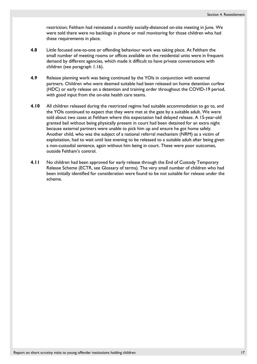restriction; Feltham had reinstated a monthly socially-distanced on-site meeting in June. We were told there were no backlogs in phone or mail monitoring for those children who had these requirements in place.

- <span id="page-16-0"></span>**4.8** Little focused one-to-one or offending behaviour work was taking place. At Feltham the small number of meeting rooms or offices available on the residential units were in frequent demand by different agencies, which made it difficult to have private conversations with children (see paragraph [1.16\)](#page-10-0).
- **4.9** Release planning work was being continued by the YOIs in conjunction with external partners. Children who were deemed suitable had been released on home detention curfew (HDC) or early release on a detention and training order throughout the COVID-19 period, with good input from the on-site health care teams.
- **4.10** All children released during the restricted regime had suitable accommodation to go to, and the YOIs continued to expect that they were met at the gate by a suitable adult. We were told about two cases at Feltham where this expectation had delayed release. A 15-year-old granted bail without being physically present in court had been detained for an extra night because external partners were unable to pick him up and ensure he got home safely. Another child, who was the subject of a national referral mechanism (NRM) as a victim of exploitation, had to wait until late evening to be released to a suitable adult after being given a non-custodial sentence, again without him being in court. These were poor outcomes, outside Feltham's control.
- **4.11** No children had been approved for early release through the End of Custody Temporary Release Scheme (ECTR, see [Glossary of terms\)](#page-3-1). The very small number of children who had been initially identified for consideration were found to be not suitable for release under the scheme.